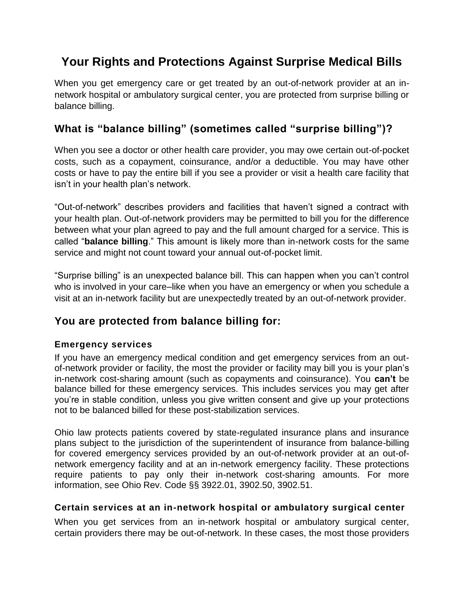# **Your Rights and Protections Against Surprise Medical Bills**

When you get emergency care or get treated by an out-of-network provider at an innetwork hospital or ambulatory surgical center, you are protected from surprise billing or balance billing.

## **What is "balance billing" (sometimes called "surprise billing")?**

When you see a doctor or other health care provider, you may owe certain out-of-pocket costs, such as a copayment, coinsurance, and/or a deductible. You may have other costs or have to pay the entire bill if you see a provider or visit a health care facility that isn't in your health plan's network.

"Out-of-network" describes providers and facilities that haven't signed a contract with your health plan. Out-of-network providers may be permitted to bill you for the difference between what your plan agreed to pay and the full amount charged for a service. This is called "**balance billing**." This amount is likely more than in-network costs for the same service and might not count toward your annual out-of-pocket limit.

"Surprise billing" is an unexpected balance bill. This can happen when you can't control who is involved in your care–like when you have an emergency or when you schedule a visit at an in-network facility but are unexpectedly treated by an out-of-network provider.

## **You are protected from balance billing for:**

### **Emergency services**

If you have an emergency medical condition and get emergency services from an outof-network provider or facility, the most the provider or facility may bill you is your plan's in-network cost-sharing amount (such as copayments and coinsurance). You **can't** be balance billed for these emergency services. This includes services you may get after you're in stable condition, unless you give written consent and give up your protections not to be balanced billed for these post-stabilization services.

Ohio law protects patients covered by state-regulated insurance plans and insurance plans subject to the jurisdiction of the superintendent of insurance from balance-billing for covered emergency services provided by an out-of-network provider at an out-ofnetwork emergency facility and at an in-network emergency facility. These protections require patients to pay only their in-network cost-sharing amounts. For more information, see Ohio Rev. Code §§ 3922.01, 3902.50, 3902.51.

#### **Certain services at an in-network hospital or ambulatory surgical center**

When you get services from an in-network hospital or ambulatory surgical center, certain providers there may be out-of-network. In these cases, the most those providers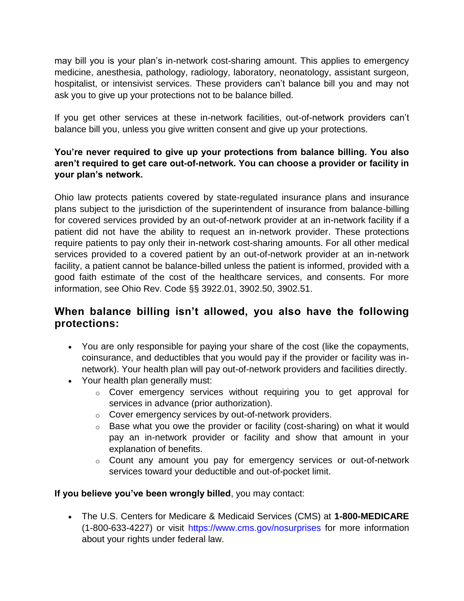may bill you is your plan's in-network cost-sharing amount. This applies to emergency medicine, anesthesia, pathology, radiology, laboratory, neonatology, assistant surgeon, hospitalist, or intensivist services. These providers can't balance bill you and may not ask you to give up your protections not to be balance billed.

If you get other services at these in-network facilities, out-of-network providers can't balance bill you, unless you give written consent and give up your protections.

### **You're never required to give up your protections from balance billing. You also aren't required to get care out-of-network. You can choose a provider or facility in your plan's network.**

Ohio law protects patients covered by state-regulated insurance plans and insurance plans subject to the jurisdiction of the superintendent of insurance from balance-billing for covered services provided by an out-of-network provider at an in-network facility if a patient did not have the ability to request an in-network provider. These protections require patients to pay only their in-network cost-sharing amounts. For all other medical services provided to a covered patient by an out-of-network provider at an in-network facility, a patient cannot be balance-billed unless the patient is informed, provided with a good faith estimate of the cost of the healthcare services, and consents. For more information, see Ohio Rev. Code §§ 3922.01, 3902.50, 3902.51.

### **When balance billing isn't allowed, you also have the following protections:**

- You are only responsible for paying your share of the cost (like the copayments, coinsurance, and deductibles that you would pay if the provider or facility was innetwork). Your health plan will pay out-of-network providers and facilities directly.
- Your health plan generally must:
	- $\circ$  Cover emergency services without requiring you to get approval for services in advance (prior authorization).
	- o Cover emergency services by out-of-network providers.
	- o Base what you owe the provider or facility (cost-sharing) on what it would pay an in-network provider or facility and show that amount in your explanation of benefits.
	- o Count any amount you pay for emergency services or out-of-network services toward your deductible and out-of-pocket limit.

#### **If you believe you've been wrongly billed**, you may contact:

 The U.S. Centers for Medicare & Medicaid Services (CMS) at **1-800-MEDICARE** (1-800-633-4227) or visit<https://www.cms.gov/nosurprises> for more information about your rights under federal law.